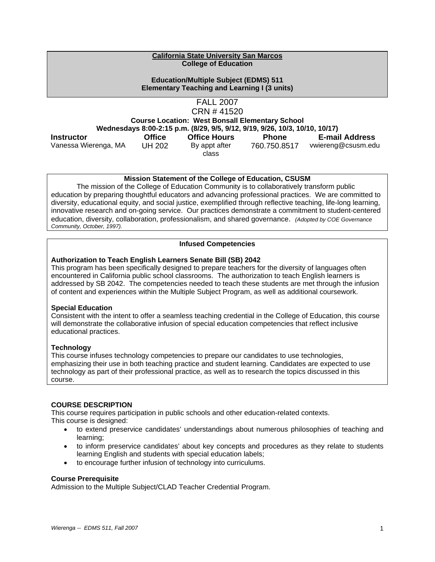#### **California State University San Marcos College of Education**

#### **Education/Multiple Subject (EDMS) 511 Elementary Teaching and Learning I (3 units)**

FALL 2007 CRN # 41520

**Course Location: West Bonsall Elementary School Wednesdays 8:00-2:15 p.m. (8/29, 9/5, 9/12, 9/19, 9/26, 10/3, 10/10, 10/17) Instructor Office Office Hours Phone E-mail Address** 

Vanessa Wierenga, MA UH 202 By appt after

class

760.750.8517 vwiereng@csusm.edu

## **Mission Statement of the College of Education, CSUSM**

 The mission of the College of Education Community is to collaboratively transform public education by preparing thoughtful educators and advancing professional practices. We are committed to diversity, educational equity, and social justice, exemplified through reflective teaching, life-long learning, innovative research and on-going service. Our practices demonstrate a commitment to student-centered education, diversity, collaboration, professionalism, and shared governance. *(Adopted by COE Governance Community, October, 1997).* 

## **Infused Competencies**

## **Authorization to Teach English Learners Senate Bill (SB) 2042**

This program has been specifically designed to prepare teachers for the diversity of languages often encountered in California public school classrooms. The authorization to teach English learners is addressed by SB 2042. The competencies needed to teach these students are met through the infusion of content and experiences within the Multiple Subject Program, as well as additional coursework.

## **Special Education**

Consistent with the intent to offer a seamless teaching credential in the College of Education, this course will demonstrate the collaborative infusion of special education competencies that reflect inclusive educational practices.

## **Technology**

This course infuses technology competencies to prepare our candidates to use technologies, emphasizing their use in both teaching practice and student learning. Candidates are expected to use technology as part of their professional practice, as well as to research the topics discussed in this course.

## **COURSE DESCRIPTION**

This course requires participation in public schools and other education-related contexts. This course is designed:

- to extend preservice candidates' understandings about numerous philosophies of teaching and learning;
- to inform preservice candidates' about key concepts and procedures as they relate to students learning English and students with special education labels;
- to encourage further infusion of technology into curriculums.

## **Course Prerequisite**

Admission to the Multiple Subject/CLAD Teacher Credential Program.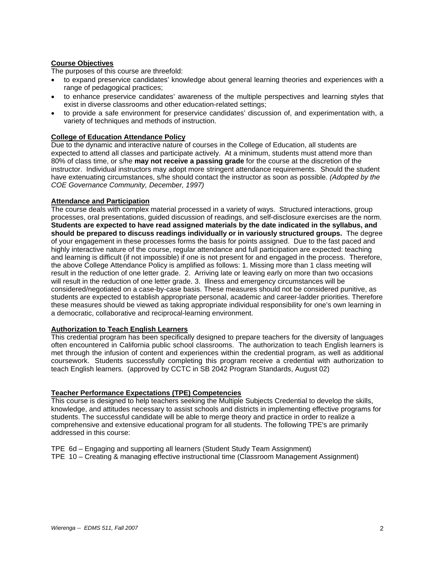## **Course Objectives**

The purposes of this course are threefold:

- to expand preservice candidates' knowledge about general learning theories and experiences with a range of pedagogical practices;
- to enhance preservice candidates' awareness of the multiple perspectives and learning styles that exist in diverse classrooms and other education-related settings;
- to provide a safe environment for preservice candidates' discussion of, and experimentation with, a variety of techniques and methods of instruction.

#### **College of Education Attendance Policy**

Due to the dynamic and interactive nature of courses in the College of Education, all students are expected to attend all classes and participate actively. At a minimum, students must attend more than 80% of class time, or s/he **may not receive a passing grade** for the course at the discretion of the instructor. Individual instructors may adopt more stringent attendance requirements. Should the student have extenuating circumstances, s/he should contact the instructor as soon as possible. *(Adopted by the COE Governance Community, December, 1997)*

#### **Attendance and Participation**

The course deals with complex material processed in a variety of ways. Structured interactions, group processes, oral presentations, guided discussion of readings, and self-disclosure exercises are the norm. **Students are expected to have read assigned materials by the date indicated in the syllabus, and should be prepared to discuss readings individually or in variously structured groups.** The degree of your engagement in these processes forms the basis for points assigned. Due to the fast paced and highly interactive nature of the course, regular attendance and full participation are expected: teaching and learning is difficult (if not impossible) if one is not present for and engaged in the process. Therefore, the above College Attendance Policy is amplified as follows: 1. Missing more than 1 class meeting will result in the reduction of one letter grade. 2. Arriving late or leaving early on more than two occasions will result in the reduction of one letter grade. 3. Illness and emergency circumstances will be considered/negotiated on a case-by-case basis. These measures should not be considered punitive, as students are expected to establish appropriate personal, academic and career-ladder priorities. Therefore these measures should be viewed as taking appropriate individual responsibility for one's own learning in a democratic, collaborative and reciprocal-learning environment.

#### **Authorization to Teach English Learners**

This credential program has been specifically designed to prepare teachers for the diversity of languages often encountered in California public school classrooms. The authorization to teach English learners is met through the infusion of content and experiences within the credential program, as well as additional coursework. Students successfully completing this program receive a credential with authorization to teach English learners. (approved by CCTC in SB 2042 Program Standards, August 02)

#### **Teacher Performance Expectations (TPE) Competencies**

This course is designed to help teachers seeking the Multiple Subjects Credential to develop the skills, knowledge, and attitudes necessary to assist schools and districts in implementing effective programs for students. The successful candidate will be able to merge theory and practice in order to realize a comprehensive and extensive educational program for all students. The following TPE's are primarily addressed in this course:

- TPE 6d Engaging and supporting all learners (Student Study Team Assignment)
- TPE 10 Creating & managing effective instructional time (Classroom Management Assignment)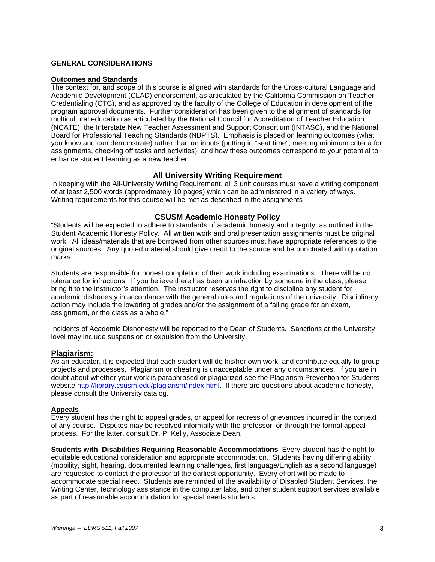### **GENERAL CONSIDERATIONS**

#### **Outcomes and Standards**

The context for, and scope of this course is aligned with standards for the Cross-cultural Language and Academic Development (CLAD) endorsement, as articulated by the California Commission on Teacher Credentialing (CTC), and as approved by the faculty of the College of Education in development of the program approval documents. Further consideration has been given to the alignment of standards for multicultural education as articulated by the National Council for Accreditation of Teacher Education (NCATE), the Interstate New Teacher Assessment and Support Consortium (INTASC), and the National Board for Professional Teaching Standards (NBPTS). Emphasis is placed on learning outcomes (what you know and can demonstrate) rather than on inputs (putting in "seat time", meeting minimum criteria for assignments, checking off tasks and activities), and how these outcomes correspond to your potential to enhance student learning as a new teacher.

#### **All University Writing Requirement**

In keeping with the All-University Writing Requirement, all 3 unit courses must have a writing component of at least 2,500 words (approximately 10 pages) which can be administered in a variety of ways. Writing requirements for this course will be met as described in the assignments

#### **CSUSM Academic Honesty Policy**

"Students will be expected to adhere to standards of academic honesty and integrity, as outlined in the Student Academic Honesty Policy. All written work and oral presentation assignments must be original work. All ideas/materials that are borrowed from other sources must have appropriate references to the original sources. Any quoted material should give credit to the source and be punctuated with quotation marks.

Students are responsible for honest completion of their work including examinations. There will be no tolerance for infractions. If you believe there has been an infraction by someone in the class, please bring it to the instructor's attention. The instructor reserves the right to discipline any student for academic dishonesty in accordance with the general rules and regulations of the university. Disciplinary action may include the lowering of grades and/or the assignment of a failing grade for an exam, assignment, or the class as a whole."

Incidents of Academic Dishonesty will be reported to the Dean of Students. Sanctions at the University level may include suspension or expulsion from the University.

#### **Plagiarism:**

As an educator, it is expected that each student will do his/her own work, and contribute equally to group projects and processes. Plagiarism or cheating is unacceptable under any circumstances. If you are in doubt about whether your work is paraphrased or plagiarized see the Plagiarism Prevention for Students website http://library.csusm.edu/plagiarism/index.html. If there are questions about academic honesty, please consult the University catalog.

#### **Appeals**

Every student has the right to appeal grades, or appeal for redress of grievances incurred in the context of any course. Disputes may be resolved informally with the professor, or through the formal appeal process. For the latter, consult Dr. P. Kelly, Associate Dean.

**Students with Disabilities Requiring Reasonable Accommodations** Every student has the right to equitable educational consideration and appropriate accommodation. Students having differing ability (mobility, sight, hearing, documented learning challenges, first language/English as a second language) are requested to contact the professor at the earliest opportunity. Every effort will be made to accommodate special need. Students are reminded of the availability of Disabled Student Services, the Writing Center, technology assistance in the computer labs, and other student support services available as part of reasonable accommodation for special needs students.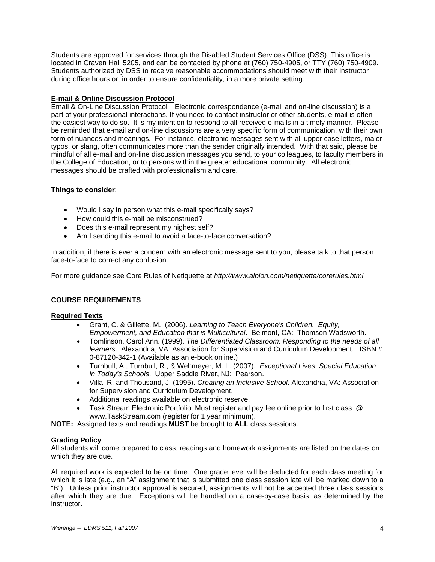Students are approved for services through the Disabled Student Services Office (DSS). This office is located in Craven Hall 5205, and can be contacted by phone at (760) 750-4905, or TTY (760) 750-4909. Students authorized by DSS to receive reasonable accommodations should meet with their instructor during office hours or, in order to ensure confidentiality, in a more private setting.

## **E-mail & Online Discussion Protocol**

Email & On-Line Discussion Protocol Electronic correspondence (e-mail and on-line discussion) is a part of your professional interactions. If you need to contact instructor or other students, e-mail is often the easiest way to do so. It is my intention to respond to all received e-mails in a timely manner. Please be reminded that e-mail and on-line discussions are a very specific form of communication, with their own form of nuances and meanings. For instance, electronic messages sent with all upper case letters, major typos, or slang, often communicates more than the sender originally intended. With that said, please be mindful of all e-mail and on-line discussion messages you send, to your colleagues, to faculty members in the College of Education, or to persons within the greater educational community. All electronic messages should be crafted with professionalism and care.

### **Things to consider**:

- Would I say in person what this e-mail specifically says?
- How could this e-mail be misconstrued?
- Does this e-mail represent my highest self?
- Am I sending this e-mail to avoid a face-to-face conversation?

In addition, if there is ever a concern with an electronic message sent to you, please talk to that person face-to-face to correct any confusion.

For more guidance see Core Rules of Netiquette at *http://www.albion.com/netiquette/corerules.html*

#### **COURSE REQUIREMENTS**

#### **Required Texts**

- Grant, C. & Gillette, M. (2006). *Learning to Teach Everyone's Children. Equity, Empowerment, and Education that is Multicultural*. Belmont, CA: Thomson Wadsworth.
- Tomlinson, Carol Ann. (1999). *The Differentiated Classroom: Responding to the needs of all learners*. Alexandria, VA: Association for Supervision and Curriculum Development. ISBN # 0-87120-342-1 (Available as an e-book online.)
- Turnbull, A., Turnbull, R., & Wehmeyer, M. L. (2007). *Exceptional Lives Special Education in Today's Schools*. Upper Saddle River, NJ: Pearson.
- Villa, R. and Thousand, J. (1995). *Creating an Inclusive School*. Alexandria, VA: Association for Supervision and Curriculum Development.
- Additional readings available on electronic reserve.
- Task Stream Electronic Portfolio, Must register and pay fee online prior to first class @ www.TaskStream.com (register for 1 year minimum).

**NOTE:** Assigned texts and readings **MUST** be brought to **ALL** class sessions.

#### **Grading Policy**

All students will come prepared to class; readings and homework assignments are listed on the dates on which they are due.

All required work is expected to be on time. One grade level will be deducted for each class meeting for which it is late (e.g., an "A" assignment that is submitted one class session late will be marked down to a "B"). Unless prior instructor approval is secured, assignments will not be accepted three class sessions after which they are due. Exceptions will be handled on a case-by-case basis, as determined by the instructor.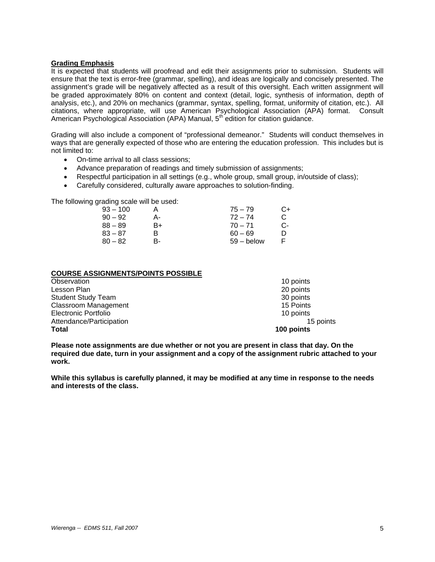### **Grading Emphasis**

It is expected that students will proofread and edit their assignments prior to submission. Students will ensure that the text is error-free (grammar, spelling), and ideas are logically and concisely presented. The assignment's grade will be negatively affected as a result of this oversight. Each written assignment will be graded approximately 80% on content and context (detail, logic, synthesis of information, depth of analysis, etc.), and 20% on mechanics (grammar, syntax, spelling, format, uniformity of citation, etc.). All citations, where appropriate, will use American Psychological Association (APA) format. Consult American Psychological Association (APA) Manual, 5th edition for citation guidance.

Grading will also include a component of "professional demeanor." Students will conduct themselves in ways that are generally expected of those who are entering the education profession. This includes but is not limited to:

- On-time arrival to all class sessions;
- Advance preparation of readings and timely submission of assignments;
- Respectful participation in all settings (e.g., whole group, small group, in/outside of class);
- Carefully considered, culturally aware approaches to solution-finding.

The following grading scale will be used:

| 93 – 100  |    | $75 - 79$    | C+ |
|-----------|----|--------------|----|
| $90 - 92$ | А- | $72 - 74$    |    |
| 88 – 89   | B+ | $70 - 71$    | C- |
| 83 – 87   | R  | $60 - 69$    |    |
| $80 - 82$ | в- | $59 -$ below |    |

### **COURSE ASSIGNMENTS/POINTS POSSIBLE**

| <b>Total</b>              | 100 points |
|---------------------------|------------|
| Attendance/Participation  | 15 points  |
| Electronic Portfolio      | 10 points  |
| Classroom Management      | 15 Points  |
| <b>Student Study Team</b> | 30 points  |
| Lesson Plan               | 20 points  |
| Observation               | 10 points  |

**Please note assignments are due whether or not you are present in class that day. On the required due date, turn in your assignment and a copy of the assignment rubric attached to your work.** 

**While this syllabus is carefully planned, it may be modified at any time in response to the needs and interests of the class.**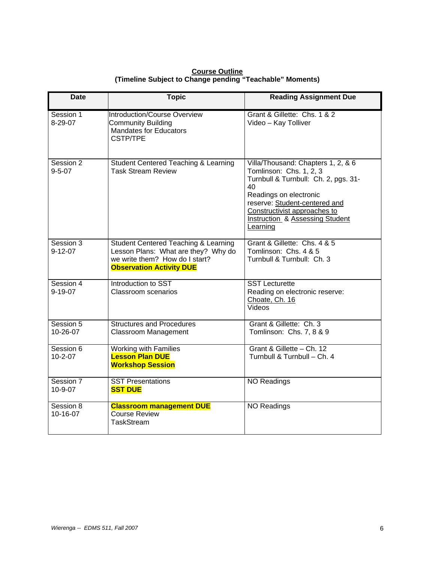| <b>Course Outline</b>                                    |
|----------------------------------------------------------|
| (Timeline Subject to Change pending "Teachable" Moments) |

| <b>Date</b>                | <b>Topic</b>                                                                                                                                     | <b>Reading Assignment Due</b>                                                                                                                                                                                                                         |
|----------------------------|--------------------------------------------------------------------------------------------------------------------------------------------------|-------------------------------------------------------------------------------------------------------------------------------------------------------------------------------------------------------------------------------------------------------|
| Session 1<br>8-29-07       | Introduction/Course Overview<br><b>Community Building</b><br><b>Mandates for Educators</b><br><b>CSTP/TPE</b>                                    | Grant & Gillette: Chs. 1 & 2<br>Video - Kay Tolliver                                                                                                                                                                                                  |
| Session 2<br>$9 - 5 - 07$  | <b>Student Centered Teaching &amp; Learning</b><br><b>Task Stream Review</b>                                                                     | Villa/Thousand: Chapters 1, 2, & 6<br>Tomlinson: Chs. 1, 2, 3<br>Turnbull & Turnbull: Ch. 2, pgs. 31-<br>40<br>Readings on electronic<br>reserve: Student-centered and<br>Constructivist approaches to<br>Instruction & Assessing Student<br>Learning |
| Session 3<br>$9 - 12 - 07$ | Student Centered Teaching & Learning<br>Lesson Plans: What are they? Why do<br>we write them? How do I start?<br><b>Observation Activity DUE</b> | Grant & Gillette: Chs. 4 & 5<br>Tomlinson: Chs. 4 & 5<br>Turnbull & Turnbull: Ch. 3                                                                                                                                                                   |
| Session 4<br>$9 - 19 - 07$ | Introduction to SST<br><b>Classroom scenarios</b>                                                                                                | <b>SST Lecturette</b><br>Reading on electronic reserve:<br>Choate, Ch. 16<br>Videos                                                                                                                                                                   |
| Session 5<br>10-26-07      | <b>Structures and Procedures</b><br><b>Classroom Management</b>                                                                                  | Grant & Gillette: Ch. 3<br>Tomlinson: Chs. 7, 8 & 9                                                                                                                                                                                                   |
| Session 6<br>$10 - 2 - 07$ | <b>Working with Families</b><br><b>Lesson Plan DUE</b><br><b>Workshop Session</b>                                                                | Grant & Gillette - Ch. 12<br>Turnbull & Turnbull - Ch. 4                                                                                                                                                                                              |
| Session 7<br>10-9-07       | <b>SST Presentations</b><br><b>SST DUE</b>                                                                                                       | <b>NO Readings</b>                                                                                                                                                                                                                                    |
| Session 8<br>10-16-07      | <b>Classroom management DUE</b><br><b>Course Review</b><br><b>TaskStream</b>                                                                     | <b>NO Readings</b>                                                                                                                                                                                                                                    |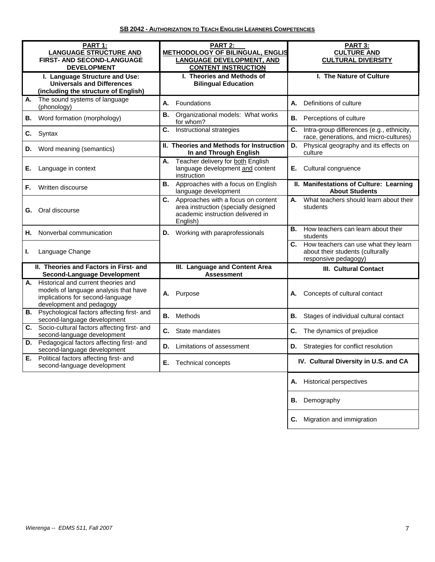| PART 1:                                                                                                                                            | PART 2:                                                                                                                           | PART 3:                                                                                                |  |
|----------------------------------------------------------------------------------------------------------------------------------------------------|-----------------------------------------------------------------------------------------------------------------------------------|--------------------------------------------------------------------------------------------------------|--|
| <b>LANGUAGE STRUCTURE AND</b><br>FIRST- AND SECOND-LANGUAGE                                                                                        | <b>METHODOLOGY OF BILINGUAL, ENGLIS</b><br><b>LANGUAGE DEVELOPMENT, AND</b>                                                       | <b>CULTURE AND</b><br><b>CULTURAL DIVERSITY</b>                                                        |  |
| <b>DEVELOPMENT</b>                                                                                                                                 | <b>CONTENT INSTRUCTION</b>                                                                                                        |                                                                                                        |  |
| I. Language Structure and Use:                                                                                                                     | I. Theories and Methods of                                                                                                        | I. The Nature of Culture                                                                               |  |
| <b>Universals and Differences</b><br>(including the structure of English)                                                                          | <b>Bilingual Education</b>                                                                                                        |                                                                                                        |  |
| The sound systems of language<br>А.<br>(phonology)                                                                                                 | Foundations<br>А.                                                                                                                 | Definitions of culture<br>А.                                                                           |  |
| <b>B.</b> Word formation (morphology)                                                                                                              | Organizational models: What works<br>В.<br>for whom?                                                                              | <b>B.</b> Perceptions of culture                                                                       |  |
| Syntax<br>C.                                                                                                                                       | C.<br>Instructional strategies                                                                                                    | Intra-group differences (e.g., ethnicity,<br>C.<br>race, generations, and micro-cultures)              |  |
| <b>D.</b> Word meaning (semantics)                                                                                                                 | II. Theories and Methods for Instruction<br>In and Through English                                                                | Physical geography and its effects on<br>D.<br>culture                                                 |  |
| Е.<br>Language in context                                                                                                                          | Teacher delivery for both English<br>А.<br>language development and content<br>instruction                                        | Е.<br>Cultural congruence                                                                              |  |
| Written discourse<br>F.                                                                                                                            | Approaches with a focus on English<br>В.<br>language development                                                                  | II. Manifestations of Culture: Learning<br><b>About Students</b>                                       |  |
| Oral discourse<br>G.                                                                                                                               | Approaches with a focus on content<br>C.<br>area instruction (specially designed<br>academic instruction delivered in<br>English) | What teachers should learn about their<br>А.<br>students                                               |  |
| Nonverbal communication<br>Η.                                                                                                                      | Working with paraprofessionals<br>D.                                                                                              | How teachers can learn about their<br>В.<br>students                                                   |  |
| Language Change<br>ı.                                                                                                                              |                                                                                                                                   | How teachers can use what they learn<br>C.<br>about their students (culturally<br>responsive pedagogy) |  |
| II. Theories and Factors in First- and<br><b>Second-Language Development</b>                                                                       | III. Language and Content Area<br><b>Assessment</b>                                                                               | <b>III. Cultural Contact</b>                                                                           |  |
| Historical and current theories and<br>А.<br>models of language analysis that have<br>implications for second-language<br>development and pedagogy | A. Purpose                                                                                                                        | Concepts of cultural contact<br>А.                                                                     |  |
| Psychological factors affecting first- and<br>В.<br>second-language development                                                                    | Methods<br>В.                                                                                                                     | В.<br>Stages of individual cultural contact                                                            |  |
| Socio-cultural factors affecting first- and<br>C.<br>second-language development                                                                   | C.<br>State mandates                                                                                                              | The dynamics of prejudice<br>C.                                                                        |  |
| Pedagogical factors affecting first- and<br>D.<br>second-language development                                                                      | Limitations of assessment<br>D.                                                                                                   | Strategies for conflict resolution<br>D.                                                               |  |
| Political factors affecting first- and<br>Е.<br>second-language development                                                                        | <b>Technical concepts</b><br>Е.                                                                                                   | IV. Cultural Diversity in U.S. and CA                                                                  |  |
|                                                                                                                                                    |                                                                                                                                   | <b>Historical perspectives</b><br>А.                                                                   |  |
|                                                                                                                                                    |                                                                                                                                   | Demography<br>В.                                                                                       |  |

**C.** Migration and immigration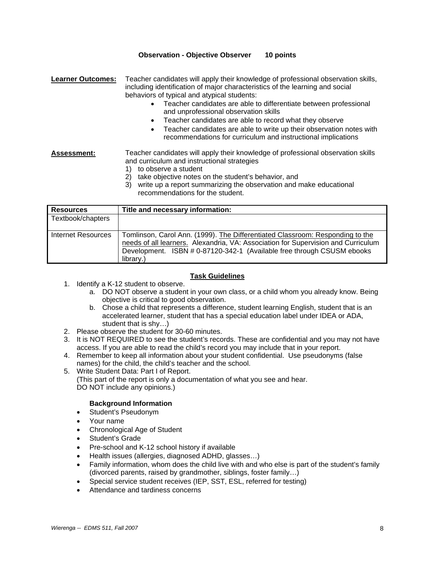### **Observation - Objective Observer 10 points**

**Learner Outcomes:** Teacher candidates will apply their knowledge of professional observation skills, including identification of major characteristics of the learning and social behaviors of typical and atypical students:

- Teacher candidates are able to differentiate between professional and unprofessional observation skills
- Teacher candidates are able to record what they observe
- Teacher candidates are able to write up their observation notes with recommendations for curriculum and instructional implications

## **Assessment:** Teacher candidates will apply their knowledge of professional observation skills and curriculum and instructional strategies

- 1) to observe a student
- 2) take objective notes on the student's behavior, and
- 3) write up a report summarizing the observation and make educational recommendations for the student.

| <b>Resources</b>     | Title and necessary information:                                                                                                                                                                                                                          |
|----------------------|-----------------------------------------------------------------------------------------------------------------------------------------------------------------------------------------------------------------------------------------------------------|
| Textbook/chapters    |                                                                                                                                                                                                                                                           |
| I Internet Resources | Tomlinson, Carol Ann. (1999). The Differentiated Classroom: Responding to the<br>needs of all learners. Alexandria, VA: Association for Supervision and Curriculum<br>Development. ISBN # 0-87120-342-1 (Available free through CSUSM ebooks<br>library.) |

### **Task Guidelines**

- 1. Identify a K-12 student to observe.
	- a. DO NOT observe a student in your own class, or a child whom you already know. Being objective is critical to good observation.
	- b. Chose a child that represents a difference, student learning English, student that is an accelerated learner, student that has a special education label under IDEA or ADA, student that is shy…)
- 2. Please observe the student for 30-60 minutes.
- 3. It is NOT REQUIRED to see the student's records. These are confidential and you may not have access. If you are able to read the child's record you may include that in your report.
- 4. Remember to keep all information about your student confidential. Use pseudonyms (false names) for the child, the child's teacher and the school.
- 5. Write Student Data: Part I of Report. (This part of the report is only a documentation of what you see and hear. DO NOT include any opinions.)

#### **Background Information**

- Student's Pseudonym
- Your name
- Chronological Age of Student
- Student's Grade
- Pre-school and K-12 school history if available
- Health issues (allergies, diagnosed ADHD, glasses…)
- Family information, whom does the child live with and who else is part of the student's family (divorced parents, raised by grandmother, siblings, foster family…)
- Special service student receives (IEP, SST, ESL, referred for testing)
- Attendance and tardiness concerns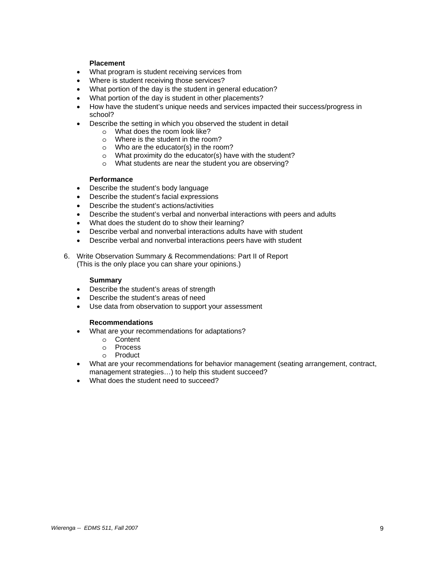#### **Placement**

- What program is student receiving services from
- Where is student receiving those services?
- What portion of the day is the student in general education?
- What portion of the day is student in other placements?
- How have the student's unique needs and services impacted their success/progress in school?
- Describe the setting in which you observed the student in detail
	- o What does the room look like?
	- o Where is the student in the room?
	- o Who are the educator(s) in the room?
	- o What proximity do the educator(s) have with the student?
	- o What students are near the student you are observing?

#### **Performance**

- Describe the student's body language
- Describe the student's facial expressions
- Describe the student's actions/activities
- Describe the student's verbal and nonverbal interactions with peers and adults
- What does the student do to show their learning?
- Describe verbal and nonverbal interactions adults have with student
- Describe verbal and nonverbal interactions peers have with student
- 6. Write Observation Summary & Recommendations: Part II of Report (This is the only place you can share your opinions.)

#### **Summary**

- Describe the student's areas of strength
- Describe the student's areas of need
- Use data from observation to support your assessment

#### **Recommendations**

- What are your recommendations for adaptations?
	- o Content
	- o Process
	- o Product
- What are your recommendations for behavior management (seating arrangement, contract, management strategies…) to help this student succeed?
- What does the student need to succeed?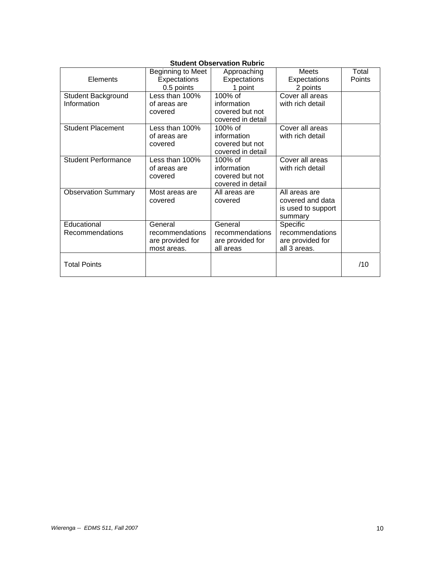|                            | Beginning to Meet | Approaching       | <b>Meets</b>       | Total  |
|----------------------------|-------------------|-------------------|--------------------|--------|
| Elements                   | Expectations      | Expectations      | Expectations       | Points |
|                            | 0.5 points        | 1 point           | 2 points           |        |
| Student Background         | Less than 100%    | 100% of           | Cover all areas    |        |
| Information                | of areas are      | information       | with rich detail   |        |
|                            | covered           | covered but not   |                    |        |
|                            |                   | covered in detail |                    |        |
| <b>Student Placement</b>   | Less than 100%    | 100% of           | Cover all areas    |        |
|                            | of areas are      | information       | with rich detail   |        |
|                            | covered           | covered but not   |                    |        |
|                            |                   | covered in detail |                    |        |
| <b>Student Performance</b> | Less than 100%    | 100% of           | Cover all areas    |        |
|                            | of areas are      | information       | with rich detail   |        |
|                            | covered           | covered but not   |                    |        |
|                            |                   | covered in detail |                    |        |
| <b>Observation Summary</b> | Most areas are    | All areas are     | All areas are      |        |
|                            | covered           | covered           | covered and data   |        |
|                            |                   |                   | is used to support |        |
|                            |                   |                   | summary            |        |
| Educational                | General           | General           | Specific           |        |
| Recommendations            | recommendations   | recommendations   | recommendations    |        |
|                            | are provided for  | are provided for  | are provided for   |        |
|                            | most areas.       | all areas         | all 3 areas.       |        |
|                            |                   |                   |                    |        |
| <b>Total Points</b>        |                   |                   |                    | /10    |
|                            |                   |                   |                    |        |

## **Student Observation Rubric**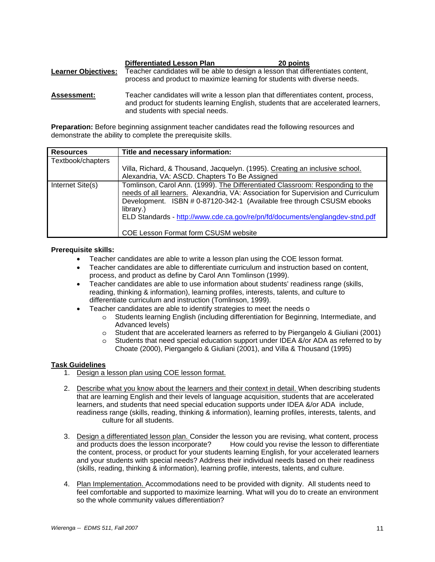|                            | <b>Differentiated Lesson Plan</b>                                         | 20 points                                                                       |
|----------------------------|---------------------------------------------------------------------------|---------------------------------------------------------------------------------|
| <b>Learner Objectives:</b> | process and product to maximize learning for students with diverse needs. | Teacher candidates will be able to design a lesson that differentiates content, |
| Accoccmont.                |                                                                           | Teacher candidates will write a lesson plan that differentiates content process |

**Assessment:** Teacher candidates will write a lesson plan that differentiates content, process, and product for students learning English, students that are accelerated learners, and students with special needs.

**Preparation:** Before beginning assignment teacher candidates read the following resources and demonstrate the ability to complete the prerequisite skills.

| <b>Resources</b>  | Title and necessary information:                                                                                                                                                                                                                                                                                                          |
|-------------------|-------------------------------------------------------------------------------------------------------------------------------------------------------------------------------------------------------------------------------------------------------------------------------------------------------------------------------------------|
| Textbook/chapters |                                                                                                                                                                                                                                                                                                                                           |
|                   | Villa, Richard, & Thousand, Jacquelyn. (1995). Creating an inclusive school.                                                                                                                                                                                                                                                              |
|                   | Alexandria, VA: ASCD. Chapters To Be Assigned                                                                                                                                                                                                                                                                                             |
| Internet Site(s)  | Tomlinson, Carol Ann. (1999). The Differentiated Classroom: Responding to the<br>needs of all learners. Alexandria, VA: Association for Supervision and Curriculum<br>Development. ISBN # 0-87120-342-1 (Available free through CSUSM ebooks<br>library.)<br>ELD Standards - http://www.cde.ca.gov/re/pn/fd/documents/englangdev-stnd.pdf |
|                   | <b>COE Lesson Format form CSUSM website</b>                                                                                                                                                                                                                                                                                               |

#### **Prerequisite skills:**

- Teacher candidates are able to write a lesson plan using the COE lesson format.
- Teacher candidates are able to differentiate curriculum and instruction based on content, process, and product as define by Carol Ann Tomlinson (1999).
- Teacher candidates are able to use information about students' readiness range (skills, reading, thinking & information), learning profiles, interests, talents, and culture to differentiate curriculum and instruction (Tomlinson, 1999).
- Teacher candidates are able to identify strategies to meet the needs o
	- o Students learning English (including differentiation for Beginning, Intermediate, and Advanced levels)
	- o Student that are accelerated learners as referred to by Piergangelo & Giuliani (2001)
	- o Students that need special education support under IDEA &/or ADA as referred to by Choate (2000), Piergangelo & Giuliani (2001), and Villa & Thousand (1995)

## **Task Guidelines**

- 1. Design a lesson plan using COE lesson format.
- 2. Describe what you know about the learners and their context in detail. When describing students that are learning English and their levels of language acquisition, students that are accelerated learners, and students that need special education supports under IDEA &/or ADA include, readiness range (skills, reading, thinking & information), learning profiles, interests, talents, and culture for all students.
- 3. Design a differentiated lesson plan. Consider the lesson you are revising, what content, process and products does the lesson incorporate? How could you revise the lesson to differentiate the content, process, or product for your students learning English, for your accelerated learners and your students with special needs? Address their individual needs based on their readiness (skills, reading, thinking & information), learning profile, interests, talents, and culture.
- 4. Plan Implementation. Accommodations need to be provided with dignity. All students need to feel comfortable and supported to maximize learning. What will you do to create an environment so the whole community values differentiation?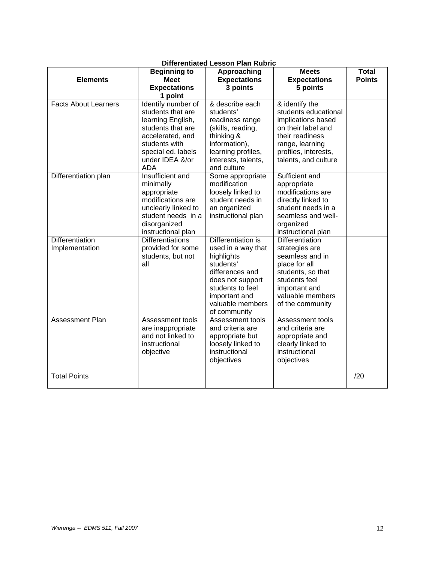| Dillerentiated Lesson Pian Rubric<br><b>Total</b><br><b>Meets</b><br><b>Beginning to</b><br>Approaching |                                   |                      |                                       |               |  |  |
|---------------------------------------------------------------------------------------------------------|-----------------------------------|----------------------|---------------------------------------|---------------|--|--|
| <b>Elements</b>                                                                                         | <b>Meet</b>                       | <b>Expectations</b>  | <b>Expectations</b>                   | <b>Points</b> |  |  |
|                                                                                                         | <b>Expectations</b>               | 3 points<br>5 points |                                       |               |  |  |
|                                                                                                         | 1 point                           |                      |                                       |               |  |  |
| <b>Facts About Learners</b>                                                                             | Identify number of                | & describe each      | & identify the                        |               |  |  |
|                                                                                                         | students that are                 | students'            | students educational                  |               |  |  |
|                                                                                                         |                                   |                      | implications based                    |               |  |  |
|                                                                                                         | learning English,                 | readiness range      |                                       |               |  |  |
|                                                                                                         | students that are                 | (skills, reading,    | on their label and<br>their readiness |               |  |  |
|                                                                                                         | accelerated, and<br>students with | thinking &           |                                       |               |  |  |
|                                                                                                         |                                   | information),        | range, learning                       |               |  |  |
|                                                                                                         | special ed. labels                | learning profiles,   | profiles, interests,                  |               |  |  |
|                                                                                                         | under IDEA &/or                   | interests, talents,  | talents, and culture                  |               |  |  |
|                                                                                                         | <b>ADA</b>                        | and culture          |                                       |               |  |  |
| Differentiation plan                                                                                    | Insufficient and                  | Some appropriate     | Sufficient and                        |               |  |  |
|                                                                                                         | minimally                         | modification         | appropriate                           |               |  |  |
|                                                                                                         | appropriate                       | loosely linked to    | modifications are                     |               |  |  |
|                                                                                                         | modifications are                 | student needs in     | directly linked to                    |               |  |  |
|                                                                                                         | unclearly linked to               | an organized         | student needs in a                    |               |  |  |
|                                                                                                         | student needs in a                | instructional plan   | seamless and well-                    |               |  |  |
|                                                                                                         | disorganized                      |                      | organized                             |               |  |  |
|                                                                                                         | instructional plan                |                      | instructional plan                    |               |  |  |
| Differentiation                                                                                         | <b>Differentiations</b>           | Differentiation is   | Differentiation                       |               |  |  |
| Implementation                                                                                          | provided for some                 | used in a way that   | strategies are                        |               |  |  |
|                                                                                                         | students, but not                 | highlights           | seamless and in                       |               |  |  |
|                                                                                                         | all                               | students'            | place for all                         |               |  |  |
|                                                                                                         |                                   | differences and      | students, so that                     |               |  |  |
|                                                                                                         |                                   | does not support     | students feel                         |               |  |  |
|                                                                                                         |                                   | students to feel     | important and                         |               |  |  |
|                                                                                                         |                                   | important and        | valuable members                      |               |  |  |
|                                                                                                         |                                   | valuable members     | of the community                      |               |  |  |
|                                                                                                         |                                   | of community         |                                       |               |  |  |
| Assessment Plan                                                                                         | Assessment tools                  | Assessment tools     | Assessment tools                      |               |  |  |
|                                                                                                         | are inappropriate                 | and criteria are     | and criteria are                      |               |  |  |
|                                                                                                         | and not linked to                 | appropriate but      | appropriate and                       |               |  |  |
|                                                                                                         | instructional                     | loosely linked to    | clearly linked to                     |               |  |  |
|                                                                                                         | objective                         | instructional        | instructional                         |               |  |  |
|                                                                                                         |                                   | objectives           | objectives                            |               |  |  |
| <b>Total Points</b>                                                                                     |                                   |                      |                                       | /20           |  |  |
|                                                                                                         |                                   |                      |                                       |               |  |  |

## **Differentiated Lesson Plan Rubric**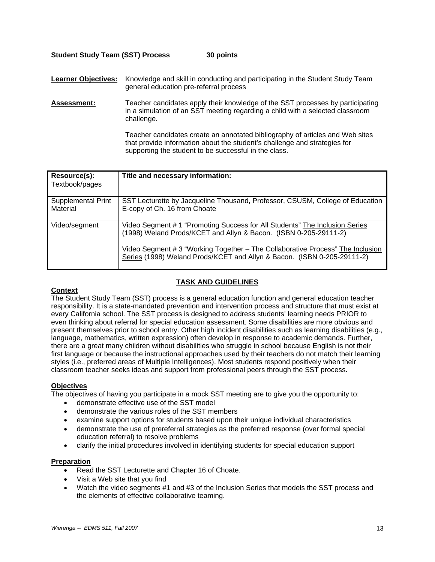### **Student Study Team (SST) Process 30 points**

**Learner Objectives:** Knowledge and skill in conducting and participating in the Student Study Team general education pre-referral process

**Assessment:** Teacher candidates apply their knowledge of the SST processes by participating in a simulation of an SST meeting regarding a child with a selected classroom challenge.

> Teacher candidates create an annotated bibliography of articles and Web sites that provide information about the student's challenge and strategies for supporting the student to be successful in the class.

| Resource(s):                   | Title and necessary information:                                                                                                                          |
|--------------------------------|-----------------------------------------------------------------------------------------------------------------------------------------------------------|
| Textbook/pages                 |                                                                                                                                                           |
| Supplemental Print<br>Material | SST Lecturette by Jacqueline Thousand, Professor, CSUSM, College of Education<br>E-copy of Ch. 16 from Choate                                             |
| Video/segment                  | Video Segment # 1 "Promoting Success for All Students" The Inclusion Series<br>(1998) Weland Prods/KCET and Allyn & Bacon. (ISBN 0-205-29111-2)           |
|                                | Video Segment # 3 "Working Together - The Collaborative Process" The Inclusion<br>Series (1998) Weland Prods/KCET and Allyn & Bacon. (ISBN 0-205-29111-2) |

## **TASK AND GUIDELINES**

#### **Context**

The Student Study Team (SST) process is a general education function and general education teacher responsibility. It is a state-mandated prevention and intervention process and structure that must exist at every California school. The SST process is designed to address students' learning needs PRIOR to even thinking about referral for special education assessment. Some disabilities are more obvious and present themselves prior to school entry. Other high incident disabilities such as learning disabilities (e.g., language, mathematics, written expression) often develop in response to academic demands. Further, there are a great many children without disabilities who struggle in school because English is not their first language or because the instructional approaches used by their teachers do not match their learning styles (i.e., preferred areas of Multiple Intelligences). Most students respond positively when their classroom teacher seeks ideas and support from professional peers through the SST process.

#### **Objectives**

The objectives of having you participate in a mock SST meeting are to give you the opportunity to:

- demonstrate effective use of the SST model
- demonstrate the various roles of the SST members
- examine support options for students based upon their unique individual characteristics
- demonstrate the use of prereferral strategies as the preferred response (over formal special education referral) to resolve problems
- clarify the initial procedures involved in identifying students for special education support

#### **Preparation**

- Read the SST Lecturette and Chapter 16 of Choate.
- Visit a Web site that you find
- Watch the video segments #1 and #3 of the Inclusion Series that models the SST process and the elements of effective collaborative teaming.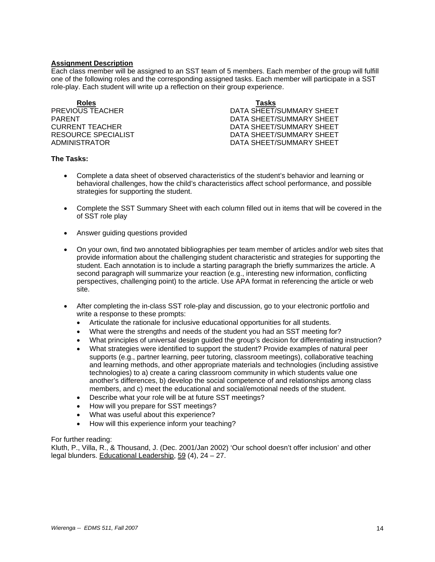### **Assignment Description**

Each class member will be assigned to an SST team of 5 members. Each member of the group will fulfill one of the following roles and the corresponding assigned tasks. Each member will participate in a SST role-play. Each student will write up a reflection on their group experience.

**Roles Tasks**

**PREVIOUS TEACHER DATA SHEET/SUMMARY SHEET** PARENT PARENT DATA SHEET/SUMMARY SHEET CURRENT TEACHER DATA SHEET/SUMMARY SHEET RESOURCE SPECIALIST **EXECUTE:** THE DATA SHEET/SUMMARY SHEET ADMINISTRATOR DATA SHEET/SUMMARY SHEET

#### **The Tasks:**

- Complete a data sheet of observed characteristics of the student's behavior and learning or behavioral challenges, how the child's characteristics affect school performance, and possible strategies for supporting the student.
- Complete the SST Summary Sheet with each column filled out in items that will be covered in the of SST role play
- Answer guiding questions provided
- On your own, find two annotated bibliographies per team member of articles and/or web sites that provide information about the challenging student characteristic and strategies for supporting the student. Each annotation is to include a starting paragraph the briefly summarizes the article. A second paragraph will summarize your reaction (e.g., interesting new information, conflicting perspectives, challenging point) to the article. Use APA format in referencing the article or web site.
- After completing the in-class SST role-play and discussion, go to your electronic portfolio and write a response to these prompts:
	- Articulate the rationale for inclusive educational opportunities for all students.
	- What were the strengths and needs of the student you had an SST meeting for?
	- What principles of universal design guided the group's decision for differentiating instruction?
	- What strategies were identified to support the student? Provide examples of natural peer supports (e.g., partner learning, peer tutoring, classroom meetings), collaborative teaching and learning methods, and other appropriate materials and technologies (including assistive technologies) to a) create a caring classroom community in which students value one another's differences, b) develop the social competence of and relationships among class members, and c) meet the educational and social/emotional needs of the student.
	- Describe what your role will be at future SST meetings?
	- How will you prepare for SST meetings?
	- What was useful about this experience?
	- How will this experience inform your teaching?

#### For further reading:

Kluth, P., Villa, R., & Thousand, J. (Dec. 2001/Jan 2002) 'Our school doesn't offer inclusion' and other legal blunders. Educational Leadership, 59 (4), 24 – 27.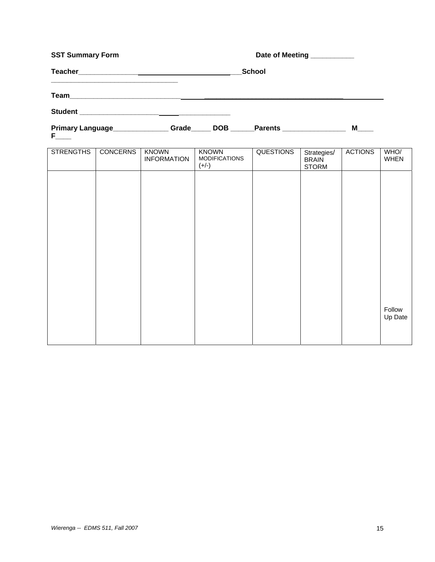| <b>SST Summary Form</b> |                 |                                                                                         |                                          | Date of Meeting __________ |                                             |                |                     |
|-------------------------|-----------------|-----------------------------------------------------------------------------------------|------------------------------------------|----------------------------|---------------------------------------------|----------------|---------------------|
|                         |                 |                                                                                         |                                          | School                     |                                             |                |                     |
|                         |                 |                                                                                         |                                          |                            |                                             |                |                     |
|                         |                 |                                                                                         |                                          |                            |                                             |                |                     |
| $F_{\text{max}}$        |                 | Primary Language______________Grade_____DOB ______Parents _______________________ M____ |                                          |                            |                                             |                |                     |
| <b>STRENGTHS</b>        | <b>CONCERNS</b> | <b>KNOWN</b><br><b>INFORMATION</b>                                                      | KNOWN<br><b>MODIFICATIONS</b><br>$(+/-)$ | <b>QUESTIONS</b>           | Strategies/<br><b>BRAIN</b><br><b>STORM</b> | <b>ACTIONS</b> | WHO/<br><b>WHEN</b> |
|                         |                 |                                                                                         |                                          |                            |                                             |                |                     |
|                         |                 |                                                                                         |                                          |                            |                                             |                |                     |
|                         |                 |                                                                                         |                                          |                            |                                             |                |                     |
|                         |                 |                                                                                         |                                          |                            |                                             |                |                     |
|                         |                 |                                                                                         |                                          |                            |                                             |                |                     |
|                         |                 |                                                                                         |                                          |                            |                                             |                |                     |
|                         |                 |                                                                                         |                                          |                            |                                             |                |                     |
|                         |                 |                                                                                         |                                          |                            |                                             |                | Follow<br>Up Date   |
|                         |                 |                                                                                         |                                          |                            |                                             |                |                     |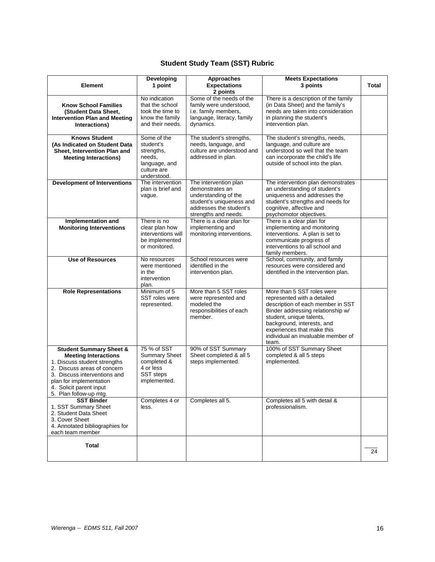## **Student Study Team (SST) Rubric**

| <b>Element</b>                                                                                                                                                                                                                                   | Developing<br>1 point                                                                           | Approaches<br><b>Expectations</b>                                                                                                               | <b>Meets Expectations</b><br>3 points                                                                                                                                                                                                                                      | <b>Total</b> |
|--------------------------------------------------------------------------------------------------------------------------------------------------------------------------------------------------------------------------------------------------|-------------------------------------------------------------------------------------------------|-------------------------------------------------------------------------------------------------------------------------------------------------|----------------------------------------------------------------------------------------------------------------------------------------------------------------------------------------------------------------------------------------------------------------------------|--------------|
|                                                                                                                                                                                                                                                  | No indication                                                                                   | 2 points<br>Some of the needs of the                                                                                                            | There is a description of the family                                                                                                                                                                                                                                       |              |
| <b>Know School Families</b><br>(Student Data Sheet,<br><b>Intervention Plan and Meeting</b><br>Interactions)                                                                                                                                     | that the school<br>took the time to<br>know the family<br>and their needs.                      | family were understood,<br>i.e. family members,<br>language, literacy, family<br>dynamics.                                                      | (in Data Sheet) and the family's<br>needs are taken into consideration<br>in planning the student's<br>intervention plan.                                                                                                                                                  |              |
| <b>Knows Student</b><br>(As Indicated on Student Data<br>Sheet, Intervention Plan and<br><b>Meeting Interactions)</b>                                                                                                                            | Some of the<br>student's<br>strengths,<br>needs,<br>language, and<br>culture are<br>understood. | The student's strengths,<br>needs, language, and<br>culture are understood and<br>addressed in plan.                                            | The student's strengths, needs,<br>language, and culture are<br>understood so well that the team<br>can incorporate the child's life<br>outside of school into the plan.                                                                                                   |              |
| <b>Development of Interventions</b>                                                                                                                                                                                                              | The intervention<br>plan is brief and<br>vague.                                                 | The intervention plan<br>demonstrates an<br>understanding of the<br>student's uniqueness and<br>addresses the student's<br>strengths and needs. | The intervention plan demonstrates<br>an understanding of student's<br>uniqueness and addresses the<br>student's strengths and needs for<br>cognitive, affective and<br>psychomotor objectives.                                                                            |              |
| Implementation and<br><b>Monitoring Interventions</b>                                                                                                                                                                                            | There is no<br>clear plan how<br>interventions will<br>be implemented<br>or monitored.          | There is a clear plan for<br>implementing and<br>monitoring interventions.                                                                      | There is a clear plan for<br>implementing and monitoring<br>interventions. A plan is set to<br>communicate progress of<br>interventions to all school and<br>family members.                                                                                               |              |
| <b>Use of Resources</b>                                                                                                                                                                                                                          | No resources<br>were mentioned<br>in the<br>intervention<br>plan.                               | School resources were<br>identified in the<br>intervention plan.                                                                                | School, community, and family<br>resources were considered and<br>identified in the intervention plan.                                                                                                                                                                     |              |
| <b>Role Representations</b>                                                                                                                                                                                                                      | Minimum of 5<br><b>SST roles were</b><br>represented.                                           | More than 5 SST roles<br>were represented and<br>modeled the<br>responsibilities of each<br>member.                                             | More than 5 SST roles were<br>represented with a detailed<br>description of each member in SST<br>Binder addressing relationship w/<br>student, unique talents,<br>background, interests, and<br>experiences that make this<br>individual an invaluable member of<br>team. |              |
| <b>Student Summary Sheet &amp;</b><br><b>Meeting Interactions</b><br>1. Discuss student strengths<br>2. Discuss areas of concern<br>3. Discuss interventions and<br>plan for implementation<br>4. Solicit parent input<br>5. Plan follow-up mtg. | 75 % of SST<br><b>Summary Sheet</b><br>completed &<br>4 or less<br>SST steps<br>implemented.    | 90% of SST Summary<br>Sheet completed & all 5<br>steps implemented.                                                                             | 100% of SST Summary Sheet<br>completed & all 5 steps<br>implemented.                                                                                                                                                                                                       |              |
| <b>SST Binder</b><br>1. SST Summary Sheet<br>2. Student Data Sheet<br>3. Cover Sheet<br>4. Annotated bibliographies for<br>each team member                                                                                                      | Completes 4 or<br>less.                                                                         | Completes all 5.                                                                                                                                | Completes all 5 with detail &<br>professionalism.                                                                                                                                                                                                                          |              |
| <b>Total</b>                                                                                                                                                                                                                                     |                                                                                                 |                                                                                                                                                 |                                                                                                                                                                                                                                                                            | 24           |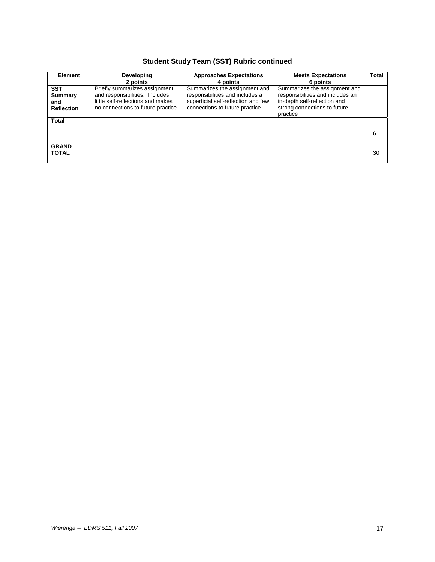## **Student Study Team (SST) Rubric continued**

| <b>Element</b>                                    | Developing<br>2 points                                                                                                                    | <b>Approaches Expectations</b><br>4 points                                                                                                | <b>Meets Expectations</b><br>6 points                                                                                                         | <b>Total</b>    |
|---------------------------------------------------|-------------------------------------------------------------------------------------------------------------------------------------------|-------------------------------------------------------------------------------------------------------------------------------------------|-----------------------------------------------------------------------------------------------------------------------------------------------|-----------------|
| <b>SST</b><br>Summary<br>and<br><b>Reflection</b> | Briefly summarizes assignment<br>and responsibilities. Includes<br>little self-reflections and makes<br>no connections to future practice | Summarizes the assignment and<br>responsibilities and includes a<br>superficial self-reflection and few<br>connections to future practice | Summarizes the assignment and<br>responsibilities and includes an<br>in-depth self-reflection and<br>strong connections to future<br>practice |                 |
| <b>Total</b>                                      |                                                                                                                                           |                                                                                                                                           |                                                                                                                                               | 6               |
| <b>GRAND</b><br><b>TOTAL</b>                      |                                                                                                                                           |                                                                                                                                           |                                                                                                                                               | $\overline{30}$ |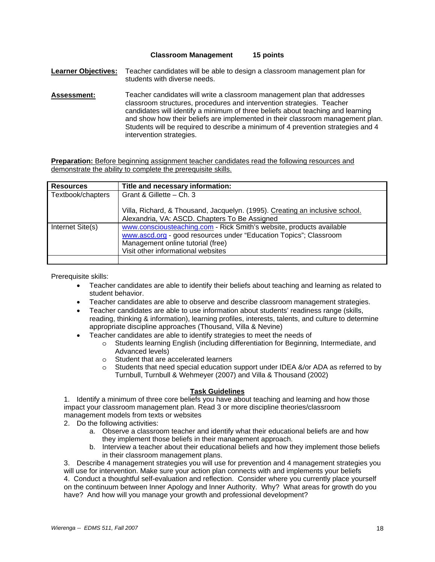#### **Classroom Management 15 points**

**Learner Objectives:** Teacher candidates will be able to design a classroom management plan for students with diverse needs.

**Assessment:** Teacher candidates will write a classroom management plan that addresses classroom structures, procedures and intervention strategies. Teacher candidates will identify a minimum of three beliefs about teaching and learning and show how their beliefs are implemented in their classroom management plan. Students will be required to describe a minimum of 4 prevention strategies and 4 intervention strategies.

**Preparation:** Before beginning assignment teacher candidates read the following resources and demonstrate the ability to complete the prerequisite skills.

| <b>Resources</b>  | Title and necessary information:                                                                                                                                                                                     |
|-------------------|----------------------------------------------------------------------------------------------------------------------------------------------------------------------------------------------------------------------|
| Textbook/chapters | Grant & Gillette - Ch. 3                                                                                                                                                                                             |
|                   | Villa, Richard, & Thousand, Jacquelyn. (1995). Creating an inclusive school.<br>Alexandria, VA: ASCD. Chapters To Be Assigned                                                                                        |
| Internet Site(s)  | www.consciousteaching.com - Rick Smith's website, products available<br>www.ascd.org - good resources under "Education Topics"; Classroom<br>Management online tutorial (free)<br>Visit other informational websites |
|                   |                                                                                                                                                                                                                      |

Prerequisite skills:

- Teacher candidates are able to identify their beliefs about teaching and learning as related to student behavior.
- Teacher candidates are able to observe and describe classroom management strategies.
- Teacher candidates are able to use information about students' readiness range (skills, reading, thinking & information), learning profiles, interests, talents, and culture to determine appropriate discipline approaches (Thousand, Villa & Nevine)
- Teacher candidates are able to identify strategies to meet the needs of
	- o Students learning English (including differentiation for Beginning, Intermediate, and Advanced levels)
	- o Student that are accelerated learners
	- o Students that need special education support under IDEA &/or ADA as referred to by Turnbull, Turnbull & Wehmeyer (2007) and Villa & Thousand (2002)

#### **Task Guidelines**

1. Identify a minimum of three core beliefs you have about teaching and learning and how those impact your classroom management plan. Read 3 or more discipline theories/classroom management models from texts or websites

2. Do the following activities:

- a. Observe a classroom teacher and identify what their educational beliefs are and how they implement those beliefs in their management approach.
- b. Interview a teacher about their educational beliefs and how they implement those beliefs in their classroom management plans.

3. Describe 4 management strategies you will use for prevention and 4 management strategies you will use for intervention. Make sure your action plan connects with and implements your beliefs 4. Conduct a thoughtful self-evaluation and reflection. Consider where you currently place yourself on the continuum between Inner Apology and Inner Authority. Why? What areas for growth do you have? And how will you manage your growth and professional development?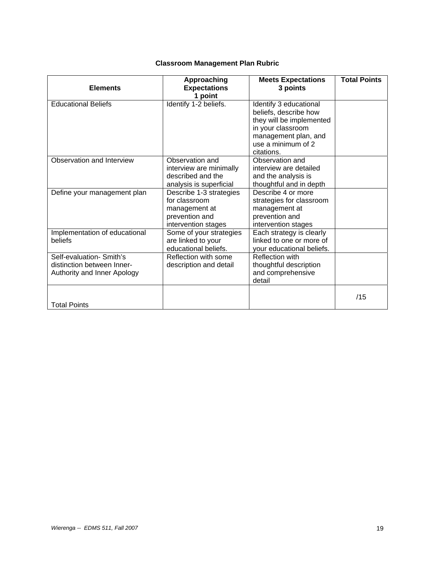| <b>Elements</b>                                                                       | Approaching<br><b>Expectations</b><br>1 point                                                      | <b>Meets Expectations</b><br>3 points                                                                                                                        | <b>Total Points</b> |
|---------------------------------------------------------------------------------------|----------------------------------------------------------------------------------------------------|--------------------------------------------------------------------------------------------------------------------------------------------------------------|---------------------|
| <b>Educational Beliefs</b>                                                            | Identify 1-2 beliefs.                                                                              | Identify 3 educational<br>beliefs, describe how<br>they will be implemented<br>in your classroom<br>management plan, and<br>use a minimum of 2<br>citations. |                     |
| Observation and Interview                                                             | Observation and<br>interview are minimally<br>described and the<br>analysis is superficial         | Observation and<br>interview are detailed<br>and the analysis is<br>thoughtful and in depth                                                                  |                     |
| Define your management plan                                                           | Describe 1-3 strategies<br>for classroom<br>management at<br>prevention and<br>intervention stages | Describe 4 or more<br>strategies for classroom<br>management at<br>prevention and<br>intervention stages                                                     |                     |
| Implementation of educational<br>beliefs                                              | Some of your strategies<br>are linked to your<br>educational beliefs.                              | Each strategy is clearly<br>linked to one or more of<br>your educational beliefs.                                                                            |                     |
| Self-evaluation- Smith's<br>distinction between Inner-<br>Authority and Inner Apology | Reflection with some<br>description and detail                                                     | Reflection with<br>thoughtful description<br>and comprehensive<br>detail                                                                                     |                     |
| <b>Total Points</b>                                                                   |                                                                                                    |                                                                                                                                                              | /15                 |

## **Classroom Management Plan Rubric**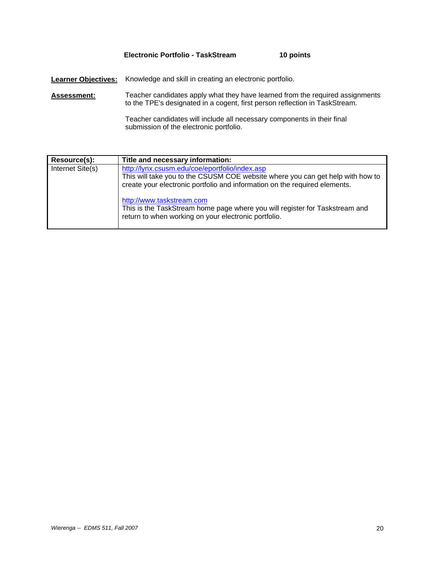## **Electronic Portfolio - TaskStream 10 points**

**Learner Objectives:** Knowledge and skill in creating an electronic portfolio.

**Assessment:** Teacher candidates apply what they have learned from the required assignments to the TPE's designated in a cogent, first person reflection in TaskStream.

> Teacher candidates will include all necessary components in their final submission of the electronic portfolio.

| Resource(s):     | Title and necessary information:                                                                                                                                                                               |
|------------------|----------------------------------------------------------------------------------------------------------------------------------------------------------------------------------------------------------------|
| Internet Site(s) | http://lynx.csusm.edu/coe/eportfolio/index.asp<br>This will take you to the CSUSM COE website where you can get help with how to<br>create your electronic portfolio and information on the required elements. |
|                  | http://www.taskstream.com<br>This is the TaskStream home page where you will register for Taskstream and<br>return to when working on your electronic portfolio.                                               |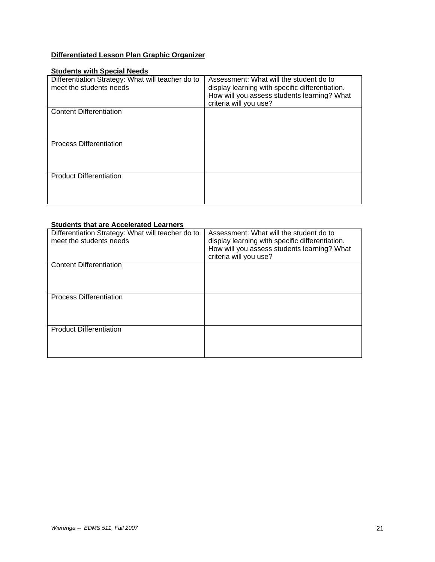## **Differentiated Lesson Plan Graphic Organizer**

## **Students with Special Needs**

| Differentiation Strategy: What will teacher do to<br>meet the students needs | Assessment: What will the student do to<br>display learning with specific differentiation.<br>How will you assess students learning? What<br>criteria will you use? |
|------------------------------------------------------------------------------|---------------------------------------------------------------------------------------------------------------------------------------------------------------------|
| <b>Content Differentiation</b>                                               |                                                                                                                                                                     |
| <b>Process Differentiation</b>                                               |                                                                                                                                                                     |
| <b>Product Differentiation</b>                                               |                                                                                                                                                                     |

#### **Students that are Accelerated Learners**

| Differentiation Strategy: What will teacher do to<br>meet the students needs | Assessment: What will the student do to<br>display learning with specific differentiation.<br>How will you assess students learning? What<br>criteria will you use? |
|------------------------------------------------------------------------------|---------------------------------------------------------------------------------------------------------------------------------------------------------------------|
| <b>Content Differentiation</b>                                               |                                                                                                                                                                     |
| <b>Process Differentiation</b>                                               |                                                                                                                                                                     |
| <b>Product Differentiation</b>                                               |                                                                                                                                                                     |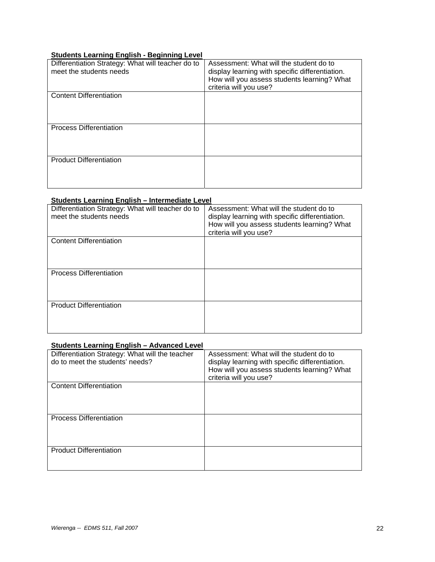## **Students Learning English - Beginning Level**

| Differentiation Strategy: What will teacher do to<br>meet the students needs | Assessment: What will the student do to<br>display learning with specific differentiation.<br>How will you assess students learning? What<br>criteria will you use? |
|------------------------------------------------------------------------------|---------------------------------------------------------------------------------------------------------------------------------------------------------------------|
| <b>Content Differentiation</b>                                               |                                                                                                                                                                     |
| <b>Process Differentiation</b>                                               |                                                                                                                                                                     |
| <b>Product Differentiation</b>                                               |                                                                                                                                                                     |

## **Students Learning English – Intermediate Level**

| Differentiation Strategy: What will teacher do to<br>meet the students needs | Assessment: What will the student do to<br>display learning with specific differentiation.<br>How will you assess students learning? What<br>criteria will you use? |
|------------------------------------------------------------------------------|---------------------------------------------------------------------------------------------------------------------------------------------------------------------|
| <b>Content Differentiation</b>                                               |                                                                                                                                                                     |
| <b>Process Differentiation</b>                                               |                                                                                                                                                                     |
| <b>Product Differentiation</b>                                               |                                                                                                                                                                     |

## **Students Learning English – Advanced Level**

| Differentiation Strategy: What will the teacher<br>do to meet the students' needs? | Assessment: What will the student do to<br>display learning with specific differentiation.<br>How will you assess students learning? What<br>criteria will you use? |
|------------------------------------------------------------------------------------|---------------------------------------------------------------------------------------------------------------------------------------------------------------------|
| <b>Content Differentiation</b>                                                     |                                                                                                                                                                     |
| <b>Process Differentiation</b>                                                     |                                                                                                                                                                     |
| <b>Product Differentiation</b>                                                     |                                                                                                                                                                     |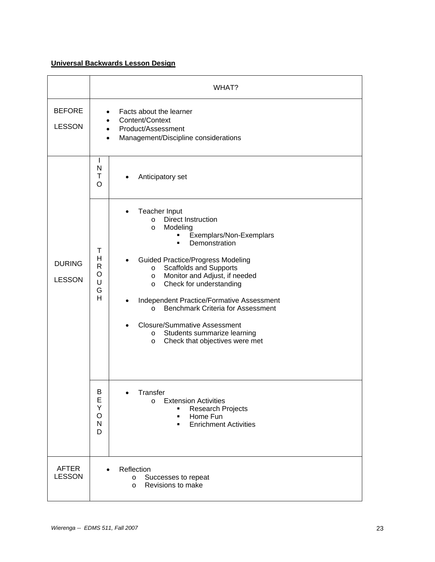## **Universal Backwards Lesson Design**

|                                | WHAT?                                                                                                                                                                                                                                                                                                                                                                                                                                                                                                                                                             |
|--------------------------------|-------------------------------------------------------------------------------------------------------------------------------------------------------------------------------------------------------------------------------------------------------------------------------------------------------------------------------------------------------------------------------------------------------------------------------------------------------------------------------------------------------------------------------------------------------------------|
| <b>BEFORE</b><br><b>LESSON</b> | Facts about the learner<br>Content/Context<br>Product/Assessment<br>Management/Discipline considerations                                                                                                                                                                                                                                                                                                                                                                                                                                                          |
|                                | L<br>N<br>T<br>Anticipatory set<br>O                                                                                                                                                                                                                                                                                                                                                                                                                                                                                                                              |
| <b>DURING</b><br><b>LESSON</b> | Teacher Input<br><b>Direct Instruction</b><br>$\circ$<br>Modeling<br>$\circ$<br>Exemplars/Non-Exemplars<br>Demonstration<br>Т<br>H<br><b>Guided Practice/Progress Modeling</b><br>R<br><b>Scaffolds and Supports</b><br>$\circ$<br>O<br>Monitor and Adjust, if needed<br>$\circ$<br>U<br>Check for understanding<br>O<br>G<br>H<br>Independent Practice/Formative Assessment<br><b>Benchmark Criteria for Assessment</b><br>$\circ$<br><b>Closure/Summative Assessment</b><br>Students summarize learning<br>$\circ$<br>Check that objectives were met<br>$\circ$ |
|                                | Β<br>I ranster<br>E<br><b>Extension Activities</b><br>$\circ$<br>Υ<br><b>Research Projects</b><br>٠<br>O<br>Home Fun<br>٠<br>$\mathsf{N}$<br><b>Enrichment Activities</b><br>٠<br>D                                                                                                                                                                                                                                                                                                                                                                               |
| AFTER<br><b>LESSON</b>         | Reflection<br>Successes to repeat<br>$\circ$<br>Revisions to make<br>$\circ$                                                                                                                                                                                                                                                                                                                                                                                                                                                                                      |